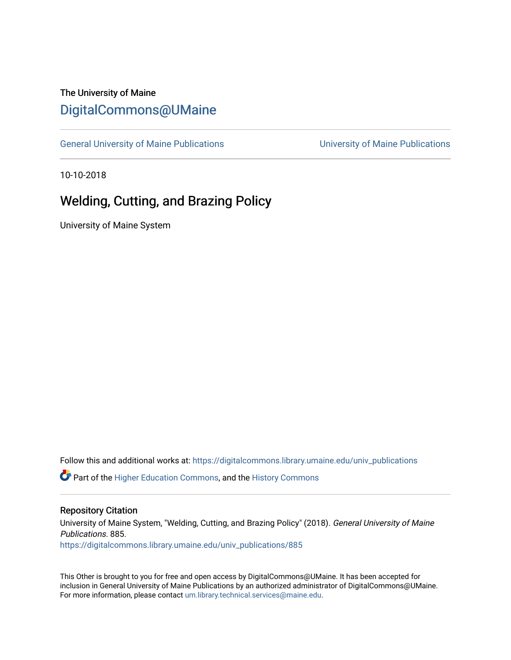# The University of Maine [DigitalCommons@UMaine](https://digitalcommons.library.umaine.edu/)

[General University of Maine Publications](https://digitalcommons.library.umaine.edu/univ_publications) [University of Maine Publications](https://digitalcommons.library.umaine.edu/umaine_publications) 

10-10-2018

# Welding, Cutting, and Brazing Policy

University of Maine System

Follow this and additional works at: [https://digitalcommons.library.umaine.edu/univ\\_publications](https://digitalcommons.library.umaine.edu/univ_publications?utm_source=digitalcommons.library.umaine.edu%2Funiv_publications%2F885&utm_medium=PDF&utm_campaign=PDFCoverPages) 

**C** Part of the [Higher Education Commons,](http://network.bepress.com/hgg/discipline/1245?utm_source=digitalcommons.library.umaine.edu%2Funiv_publications%2F885&utm_medium=PDF&utm_campaign=PDFCoverPages) and the [History Commons](http://network.bepress.com/hgg/discipline/489?utm_source=digitalcommons.library.umaine.edu%2Funiv_publications%2F885&utm_medium=PDF&utm_campaign=PDFCoverPages)

#### Repository Citation

University of Maine System, "Welding, Cutting, and Brazing Policy" (2018). General University of Maine Publications. 885. [https://digitalcommons.library.umaine.edu/univ\\_publications/885](https://digitalcommons.library.umaine.edu/univ_publications/885?utm_source=digitalcommons.library.umaine.edu%2Funiv_publications%2F885&utm_medium=PDF&utm_campaign=PDFCoverPages) 

This Other is brought to you for free and open access by DigitalCommons@UMaine. It has been accepted for inclusion in General University of Maine Publications by an authorized administrator of DigitalCommons@UMaine. For more information, please contact [um.library.technical.services@maine.edu](mailto:um.library.technical.services@maine.edu).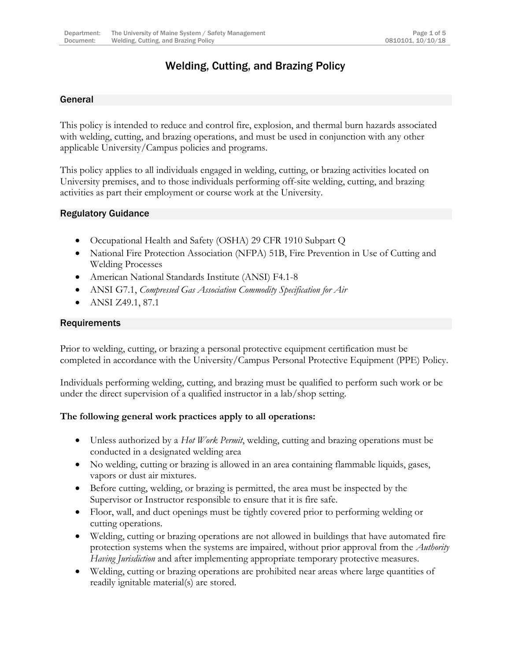## Welding, Cutting, and Brazing Policy

## General

This policy is intended to reduce and control fire, explosion, and thermal burn hazards associated with welding, cutting, and brazing operations, and must be used in conjunction with any other applicable University/Campus policies and programs.

This policy applies to all individuals engaged in welding, cutting, or brazing activities located on University premises, and to those individuals performing off-site welding, cutting, and brazing activities as part their employment or course work at the University.

#### Regulatory Guidance

- Occupational Health and Safety (OSHA) 29 CFR 1910 Subpart Q
- National Fire Protection Association (NFPA) 51B, Fire Prevention in Use of Cutting and Welding Processes
- American National Standards Institute (ANSI) F4.1-8
- ANSI G7.1, *Compressed Gas Association Commodity Specification for Air*
- ANSI Z49.1, 87.1

#### Requirements

Prior to welding, cutting, or brazing a personal protective equipment certification must be completed in accordance with the University/Campus Personal Protective Equipment (PPE) Policy.

Individuals performing welding, cutting, and brazing must be qualified to perform such work or be under the direct supervision of a qualified instructor in a lab/shop setting.

## **The following general work practices apply to all operations:**

- Unless authorized by a *Hot Work Permit*, welding, cutting and brazing operations must be conducted in a designated welding area
- No welding, cutting or brazing is allowed in an area containing flammable liquids, gases, vapors or dust air mixtures.
- Before cutting, welding, or brazing is permitted, the area must be inspected by the Supervisor or Instructor responsible to ensure that it is fire safe.
- Floor, wall, and duct openings must be tightly covered prior to performing welding or cutting operations.
- Welding, cutting or brazing operations are not allowed in buildings that have automated fire protection systems when the systems are impaired, without prior approval from the *Authority Having Jurisdiction* and after implementing appropriate temporary protective measures.
- Welding, cutting or brazing operations are prohibited near areas where large quantities of readily ignitable material(s) are stored.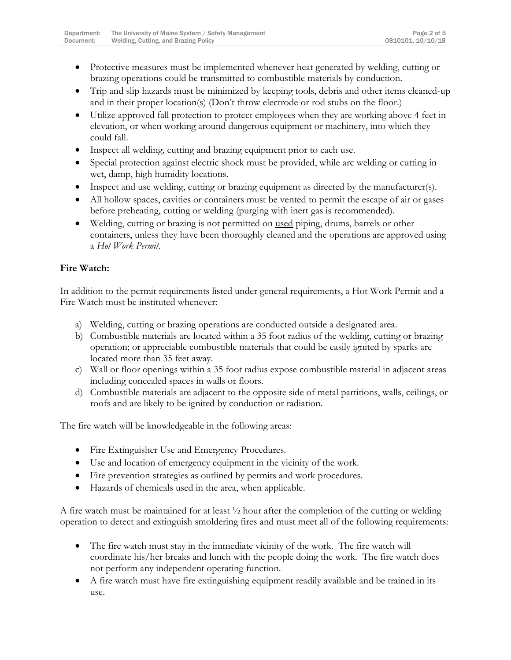- Protective measures must be implemented whenever heat generated by welding, cutting or brazing operations could be transmitted to combustible materials by conduction.
- Trip and slip hazards must be minimized by keeping tools, debris and other items cleaned-up and in their proper location(s) (Don't throw electrode or rod stubs on the floor.)
- Utilize approved fall protection to protect employees when they are working above 4 feet in elevation, or when working around dangerous equipment or machinery, into which they could fall.
- Inspect all welding, cutting and brazing equipment prior to each use.
- Special protection against electric shock must be provided, while arc welding or cutting in wet, damp, high humidity locations.
- Inspect and use welding, cutting or brazing equipment as directed by the manufacturer(s).
- All hollow spaces, cavities or containers must be vented to permit the escape of air or gases before preheating, cutting or welding (purging with inert gas is recommended).
- Welding, cutting or brazing is not permitted on used piping, drums, barrels or other containers, unless they have been thoroughly cleaned and the operations are approved using a *Hot Work Permit*.

## **Fire Watch:**

In addition to the permit requirements listed under general requirements, a Hot Work Permit and a Fire Watch must be instituted whenever:

- a) Welding, cutting or brazing operations are conducted outside a designated area.
- b) Combustible materials are located within a 35 foot radius of the welding, cutting or brazing operation; or appreciable combustible materials that could be easily ignited by sparks are located more than 35 feet away.
- c) Wall or floor openings within a 35 foot radius expose combustible material in adjacent areas including concealed spaces in walls or floors.
- d) Combustible materials are adjacent to the opposite side of metal partitions, walls, ceilings, or roofs and are likely to be ignited by conduction or radiation.

The fire watch will be knowledgeable in the following areas:

- Fire Extinguisher Use and Emergency Procedures.
- Use and location of emergency equipment in the vicinity of the work.
- Fire prevention strategies as outlined by permits and work procedures.
- Hazards of chemicals used in the area, when applicable.

A fire watch must be maintained for at least ½ hour after the completion of the cutting or welding operation to detect and extinguish smoldering fires and must meet all of the following requirements:

- The fire watch must stay in the immediate vicinity of the work. The fire watch will coordinate his/her breaks and lunch with the people doing the work. The fire watch does not perform any independent operating function.
- A fire watch must have fire extinguishing equipment readily available and be trained in its use.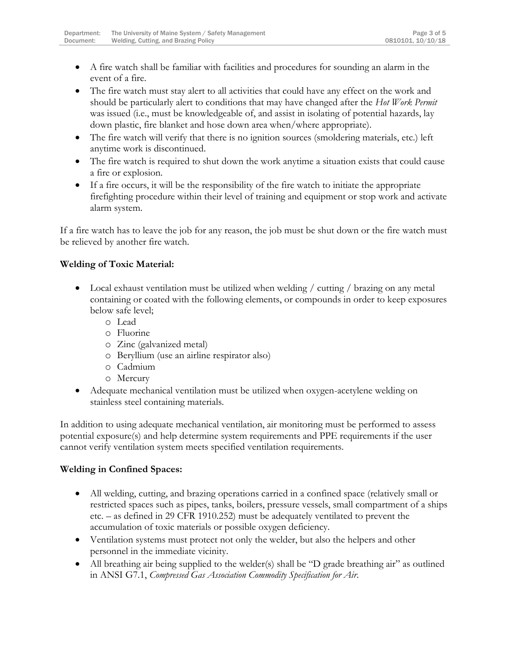- A fire watch shall be familiar with facilities and procedures for sounding an alarm in the event of a fire.
- The fire watch must stay alert to all activities that could have any effect on the work and should be particularly alert to conditions that may have changed after the *Hot Work Permit* was issued (i.e., must be knowledgeable of, and assist in isolating of potential hazards, lay down plastic, fire blanket and hose down area when/where appropriate).
- The fire watch will verify that there is no ignition sources (smoldering materials, etc.) left anytime work is discontinued.
- The fire watch is required to shut down the work anytime a situation exists that could cause a fire or explosion.
- If a fire occurs, it will be the responsibility of the fire watch to initiate the appropriate firefighting procedure within their level of training and equipment or stop work and activate alarm system.

If a fire watch has to leave the job for any reason, the job must be shut down or the fire watch must be relieved by another fire watch.

## **Welding of Toxic Material:**

- Local exhaust ventilation must be utilized when welding / cutting / brazing on any metal containing or coated with the following elements, or compounds in order to keep exposures below safe level;
	- o Lead
	- o Fluorine
	- o Zinc (galvanized metal)
	- o Beryllium (use an airline respirator also)
	- o Cadmium
	- o Mercury
- Adequate mechanical ventilation must be utilized when oxygen-acetylene welding on stainless steel containing materials.

In addition to using adequate mechanical ventilation, air monitoring must be performed to assess potential exposure(s) and help determine system requirements and PPE requirements if the user cannot verify ventilation system meets specified ventilation requirements.

## **Welding in Confined Spaces:**

- All welding, cutting, and brazing operations carried in a confined space (relatively small or restricted spaces such as pipes, tanks, boilers, pressure vessels, small compartment of a ships etc. – as defined in 29 CFR 1910.252) must be adequately ventilated to prevent the accumulation of toxic materials or possible oxygen deficiency.
- Ventilation systems must protect not only the welder, but also the helpers and other personnel in the immediate vicinity.
- All breathing air being supplied to the welder(s) shall be "D grade breathing air" as outlined in ANSI G7.1, *Compressed Gas Association Commodity Specification for Air*.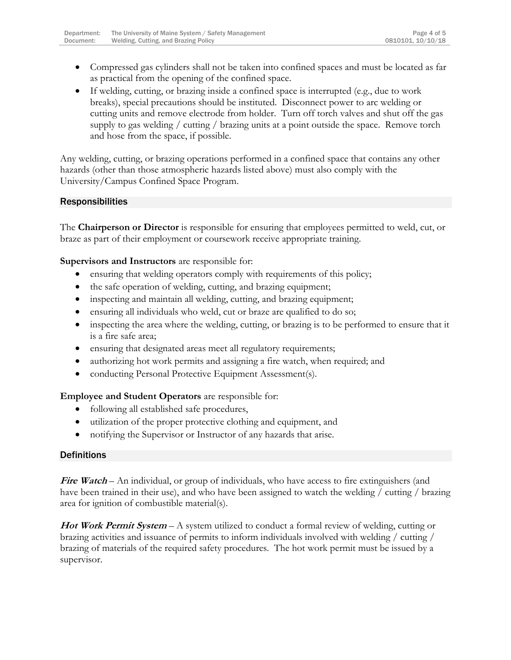- Compressed gas cylinders shall not be taken into confined spaces and must be located as far as practical from the opening of the confined space.
- If welding, cutting, or brazing inside a confined space is interrupted (e.g., due to work breaks), special precautions should be instituted. Disconnect power to arc welding or cutting units and remove electrode from holder. Turn off torch valves and shut off the gas supply to gas welding / cutting / brazing units at a point outside the space. Remove torch and hose from the space, if possible.

Any welding, cutting, or brazing operations performed in a confined space that contains any other hazards (other than those atmospheric hazards listed above) must also comply with the University/Campus Confined Space Program.

## Responsibilities

The **Chairperson or Director** is responsible for ensuring that employees permitted to weld, cut, or braze as part of their employment or coursework receive appropriate training.

**Supervisors and Instructors** are responsible for:

- ensuring that welding operators comply with requirements of this policy;
- the safe operation of welding, cutting, and brazing equipment;
- inspecting and maintain all welding, cutting, and brazing equipment;
- ensuring all individuals who weld, cut or braze are qualified to do so;
- inspecting the area where the welding, cutting, or brazing is to be performed to ensure that it is a fire safe area;
- ensuring that designated areas meet all regulatory requirements;
- authorizing hot work permits and assigning a fire watch, when required; and
- conducting Personal Protective Equipment Assessment(s).

**Employee and Student Operators** are responsible for:

- following all established safe procedures,
- utilization of the proper protective clothing and equipment, and
- notifying the Supervisor or Instructor of any hazards that arise.

## **Definitions**

**Fire Watch** – An individual, or group of individuals, who have access to fire extinguishers (and have been trained in their use), and who have been assigned to watch the welding / cutting / brazing area for ignition of combustible material(s).

**Hot Work Permit System** – A system utilized to conduct a formal review of welding, cutting or brazing activities and issuance of permits to inform individuals involved with welding / cutting / brazing of materials of the required safety procedures. The hot work permit must be issued by a supervisor.